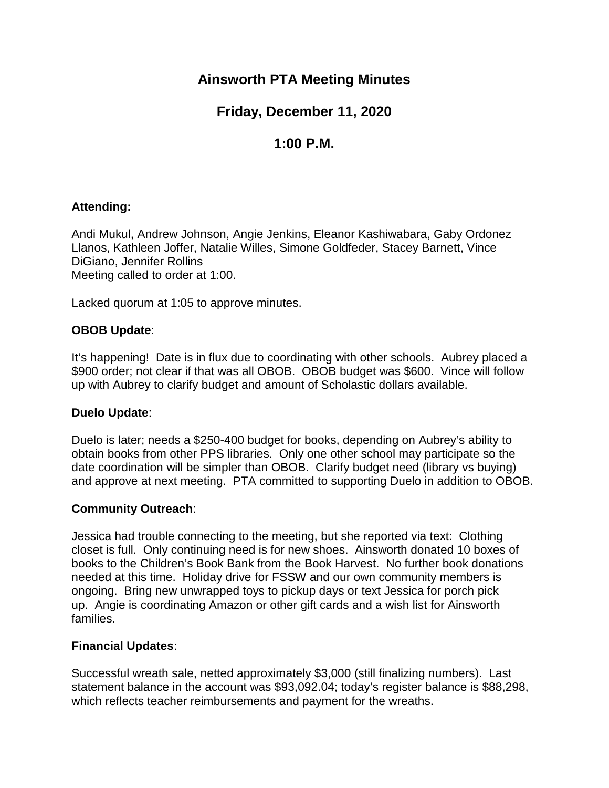## **Ainsworth PTA Meeting Minutes**

# **Friday, December 11, 2020**

# **1:00 P.M.**

## **Attending:**

Andi Mukul, Andrew Johnson, Angie Jenkins, Eleanor Kashiwabara, Gaby Ordonez Llanos, Kathleen Joffer, Natalie Willes, Simone Goldfeder, Stacey Barnett, Vince DiGiano, Jennifer Rollins Meeting called to order at 1:00.

Lacked quorum at 1:05 to approve minutes.

## **OBOB Update**:

It's happening! Date is in flux due to coordinating with other schools. Aubrey placed a \$900 order; not clear if that was all OBOB. OBOB budget was \$600. Vince will follow up with Aubrey to clarify budget and amount of Scholastic dollars available.

### **Duelo Update**:

Duelo is later; needs a \$250-400 budget for books, depending on Aubrey's ability to obtain books from other PPS libraries. Only one other school may participate so the date coordination will be simpler than OBOB. Clarify budget need (library vs buying) and approve at next meeting. PTA committed to supporting Duelo in addition to OBOB.

### **Community Outreach**:

Jessica had trouble connecting to the meeting, but she reported via text: Clothing closet is full. Only continuing need is for new shoes. Ainsworth donated 10 boxes of books to the Children's Book Bank from the Book Harvest. No further book donations needed at this time. Holiday drive for FSSW and our own community members is ongoing. Bring new unwrapped toys to pickup days or text Jessica for porch pick up. Angie is coordinating Amazon or other gift cards and a wish list for Ainsworth families.

### **Financial Updates**:

Successful wreath sale, netted approximately \$3,000 (still finalizing numbers). Last statement balance in the account was \$93,092.04; today's register balance is \$88,298, which reflects teacher reimbursements and payment for the wreaths.